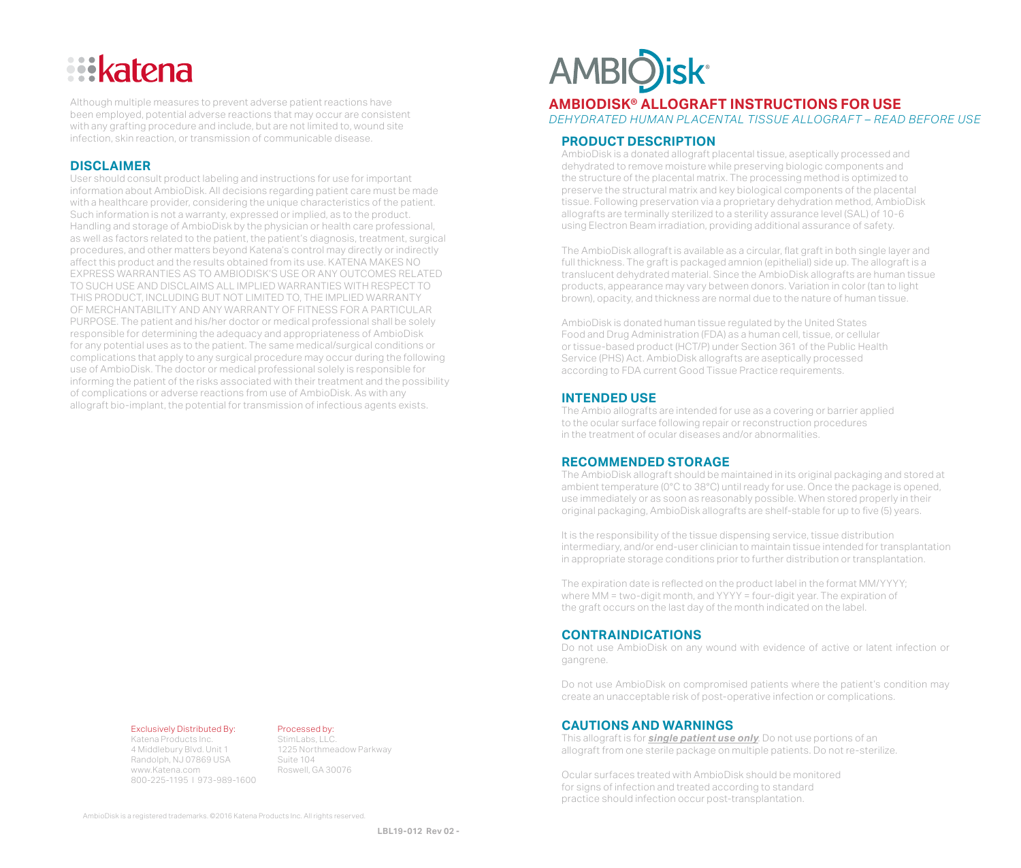# **Eikatena**

Although multiple measures to prevent adverse patient reactions have been employed, potential adverse reactions that may occur are consistent with any grafting procedure and include, but are not limited to, wound site infection, skin reaction, or transmission of communicable disease.

# **DISCLAIMER**

User should consult product labeling and instructions for use for important information about AmbioDisk. All decisions regarding patient care must be made with a healthcare provider, considering the unique characteristics of the patient. Such information is not a warranty, expressed or implied, as to the product. Handling and storage of AmbioDisk by the physician or health care professional, as well as factors related to the patient, the patient's diagnosis, treatment, surgical procedures, and other matters beyond Katena's control may directly or indirectly affect this product and the results obtained from its use. KATENA MAKES NO EXPRESS WARRANTIES AS TO AMBIODISK'S USE OR ANY OUTCOMES RELATED TO SUCH USE AND DISCLAIMS ALL IMPLIED WARRANTIES WITH RESPECT TO THIS PRODUCT, INCLUDING BUT NOT LIMITED TO, THE IMPLIED WARRANTY OF MERCHANTABILITY AND ANY WARRANTY OF FITNESS FOR A PARTICULAR PURPOSE. The patient and his/her doctor or medical professional shall be solely responsible for determining the adequacy and appropriateness of AmbioDisk for any potential uses as to the patient. The same medical/surgical conditions or complications that apply to any surgical procedure may occur during the following use of AmbioDisk. The doctor or medical professional solely is responsible for informing the patient of the risks associated with their treatment and the possibility of complications or adverse reactions from use of AmbioDisk. As with any allograft bio-implant, the potential for transmission of infectious agents exists.

## Exclusively Distributed By:

Katena Products Inc. 4 Middlebury Blvd. Unit 1 Randolph, NJ 07869 USA www.Katena.com 800-225-1195 l 973-989-1600

#### Processed by:

StimLabs, LLC. 1225 Northmeadow Parkway Suite 104 Roswell, GA 30076



# **AMBIODISK® ALLOGRAFT INSTRUCTIONS FOR USE**

*DEHYDRATED HUMAN PLACENTAL TISSUE ALLOGRAFT – READ BEFORE USE*

# **PRODUCT DESCRIPTION**

AmbioDisk is a donated allograft placental tissue, aseptically processed and dehydrated to remove moisture while preserving biologic components and the structure of the placental matrix. The processing method is optimized to preserve the structural matrix and key biological components of the placental tissue. Following preservation via a proprietary dehydration method, AmbioDisk allografts are terminally sterilized to a sterility assurance level (SAL) of 10-6 using Electron Beam irradiation, providing additional assurance of safety.

The AmbioDisk allograft is available as a circular, flat graft in both single layer and full thickness. The graft is packaged amnion (epithelial) side up. The allograft is a translucent dehydrated material. Since the AmbioDisk allografts are human tissue products, appearance may vary between donors. Variation in color (tan to light brown), opacity, and thickness are normal due to the nature of human tissue.

AmbioDisk is donated human tissue regulated by the United States Food and Drug Administration (FDA) as a human cell, tissue, or cellular or tissue-based product (HCT/P) under Section 361 of the Public Health Service (PHS) Act. AmbioDisk allografts are aseptically processed according to FDA current Good Tissue Practice requirements.

## **INTENDED USE**

The Ambio allografts are intended for use as a covering or barrier applied to the ocular surface following repair or reconstruction procedures in the treatment of ocular diseases and/or abnormalities.

#### **RECOMMENDED STORAGE**

The AmbioDisk allograft should be maintained in its original packaging and stored at ambient temperature (0°C to 38°C) until ready for use. Once the package is opened, use immediately or as soon as reasonably possible. When stored properly in their original packaging, AmbioDisk allografts are shelf-stable for up to five (5) years.

It is the responsibility of the tissue dispensing service, tissue distribution intermediary, and/or end-user clinician to maintain tissue intended for transplantation in appropriate storage conditions prior to further distribution or transplantation.

The expiration date is reflected on the product label in the format MM/YYYY; where MM = two-digit month, and YYYY = four-digit year. The expiration of the graft occurs on the last day of the month indicated on the label.

#### **CONTRAINDICATIONS**

Do not use AmbioDisk on any wound with evidence of active or latent infection or gangrene.

Do not use AmbioDisk on compromised patients where the patient's condition may create an unacceptable risk of post-operative infection or complications.

# **CAUTIONS AND WARNINGS**

This allograft is for *single patient use only*. Do not use portions of an allograft from one sterile package on multiple patients. Do not re-sterilize.

Ocular surfaces treated with AmbioDisk should be monitored for signs of infection and treated according to standard practice should infection occur post-transplantation.

AmbioDisk is a registered trademarks. ©2016 Katena Products Inc. All rights reserved.